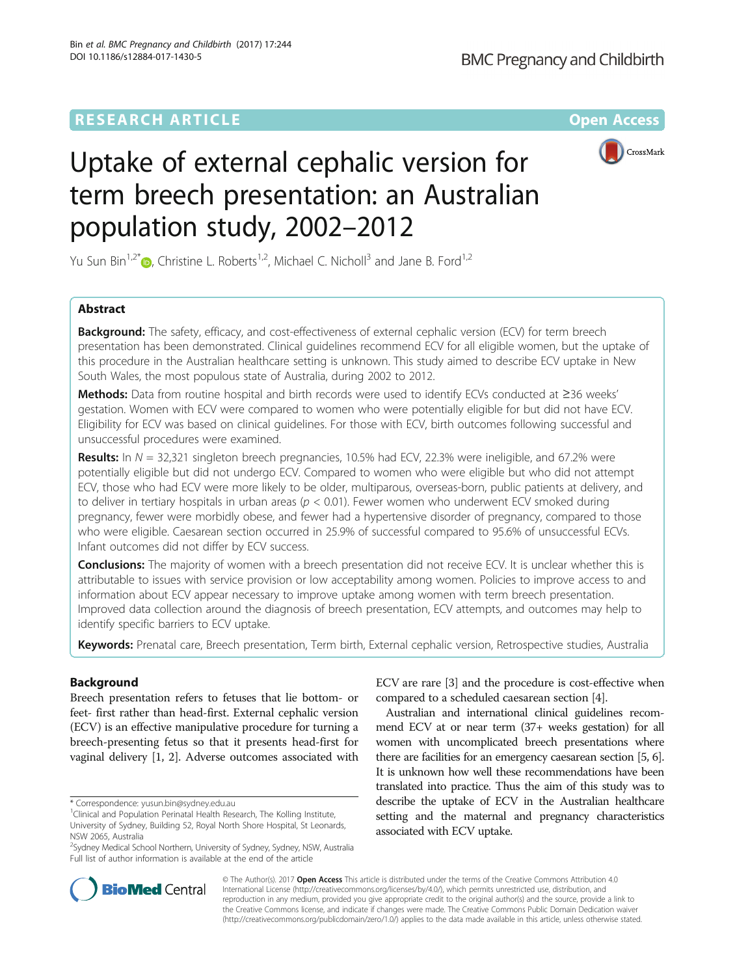# **RESEARCH ARTICLE External Structure Community Community Community Community Community Community Community Community**



# Uptake of external cephalic version for term breech presentation: an Australian population study, 2002–2012

Yu Sun Bin<sup>1,2[\\*](http://orcid.org/0000-0002-4954-2658)</sup>  $\bullet$ , Christine L. Roberts<sup>1,2</sup>, Michael C. Nicholl<sup>3</sup> and Jane B. Ford<sup>1,2</sup>

# Abstract

**Background:** The safety, efficacy, and cost-effectiveness of external cephalic version (ECV) for term breech presentation has been demonstrated. Clinical guidelines recommend ECV for all eligible women, but the uptake of this procedure in the Australian healthcare setting is unknown. This study aimed to describe ECV uptake in New South Wales, the most populous state of Australia, during 2002 to 2012.

Methods: Data from routine hospital and birth records were used to identify ECVs conducted at ≥36 weeks' gestation. Women with ECV were compared to women who were potentially eligible for but did not have ECV. Eligibility for ECV was based on clinical guidelines. For those with ECV, birth outcomes following successful and unsuccessful procedures were examined.

**Results:** In  $N = 32,321$  singleton breech pregnancies, 10.5% had ECV, 22.3% were ineligible, and 67.2% were potentially eligible but did not undergo ECV. Compared to women who were eligible but who did not attempt ECV, those who had ECV were more likely to be older, multiparous, overseas-born, public patients at delivery, and to deliver in tertiary hospitals in urban areas ( $p < 0.01$ ). Fewer women who underwent ECV smoked during pregnancy, fewer were morbidly obese, and fewer had a hypertensive disorder of pregnancy, compared to those who were eligible. Caesarean section occurred in 25.9% of successful compared to 95.6% of unsuccessful ECVs. Infant outcomes did not differ by ECV success.

Conclusions: The majority of women with a breech presentation did not receive ECV. It is unclear whether this is attributable to issues with service provision or low acceptability among women. Policies to improve access to and information about ECV appear necessary to improve uptake among women with term breech presentation. Improved data collection around the diagnosis of breech presentation, ECV attempts, and outcomes may help to identify specific barriers to ECV uptake.

Keywords: Prenatal care, Breech presentation, Term birth, External cephalic version, Retrospective studies, Australia

# Background

Breech presentation refers to fetuses that lie bottom- or feet- first rather than head-first. External cephalic version (ECV) is an effective manipulative procedure for turning a breech-presenting fetus so that it presents head-first for vaginal delivery [\[1, 2\]](#page-6-0). Adverse outcomes associated with ECV are rare [[3](#page-6-0)] and the procedure is cost-effective when compared to a scheduled caesarean section [[4](#page-6-0)].

Australian and international clinical guidelines recommend ECV at or near term (37+ weeks gestation) for all women with uncomplicated breech presentations where there are facilities for an emergency caesarean section [\[5](#page-6-0), [6](#page-6-0)]. It is unknown how well these recommendations have been translated into practice. Thus the aim of this study was to describe the uptake of ECV in the Australian healthcare setting and the maternal and pregnancy characteristics associated with ECV uptake.



© The Author(s). 2017 **Open Access** This article is distributed under the terms of the Creative Commons Attribution 4.0 International License [\(http://creativecommons.org/licenses/by/4.0/](http://creativecommons.org/licenses/by/4.0/)), which permits unrestricted use, distribution, and reproduction in any medium, provided you give appropriate credit to the original author(s) and the source, provide a link to the Creative Commons license, and indicate if changes were made. The Creative Commons Public Domain Dedication waiver [\(http://creativecommons.org/publicdomain/zero/1.0/](http://creativecommons.org/publicdomain/zero/1.0/)) applies to the data made available in this article, unless otherwise stated.

<sup>\*</sup> Correspondence: [yusun.bin@sydney.edu.au](mailto:yusun.bin@sydney.edu.au) <sup>1</sup>

<sup>&</sup>lt;sup>1</sup>Clinical and Population Perinatal Health Research, The Kolling Institute, University of Sydney, Building 52, Royal North Shore Hospital, St Leonards, NSW 2065, Australia

<sup>&</sup>lt;sup>2</sup>Sydney Medical School Northern, University of Sydney, Sydney, NSW, Australia Full list of author information is available at the end of the article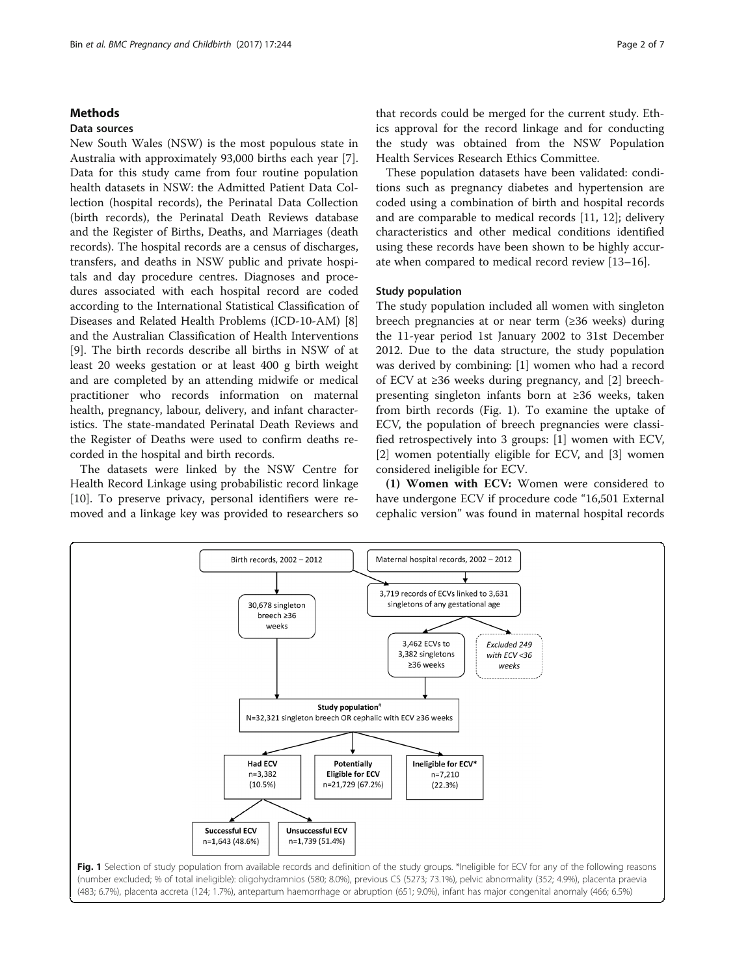# <span id="page-1-0"></span>Methods

## Data sources

New South Wales (NSW) is the most populous state in Australia with approximately 93,000 births each year [\[7](#page-6-0)]. Data for this study came from four routine population health datasets in NSW: the Admitted Patient Data Collection (hospital records), the Perinatal Data Collection (birth records), the Perinatal Death Reviews database and the Register of Births, Deaths, and Marriages (death records). The hospital records are a census of discharges, transfers, and deaths in NSW public and private hospitals and day procedure centres. Diagnoses and procedures associated with each hospital record are coded according to the International Statistical Classification of Diseases and Related Health Problems (ICD-10-AM) [[8](#page-6-0)] and the Australian Classification of Health Interventions [[9\]](#page-6-0). The birth records describe all births in NSW of at least 20 weeks gestation or at least 400 g birth weight and are completed by an attending midwife or medical practitioner who records information on maternal health, pregnancy, labour, delivery, and infant characteristics. The state-mandated Perinatal Death Reviews and the Register of Deaths were used to confirm deaths recorded in the hospital and birth records.

The datasets were linked by the NSW Centre for Health Record Linkage using probabilistic record linkage [[10\]](#page-6-0). To preserve privacy, personal identifiers were removed and a linkage key was provided to researchers so

that records could be merged for the current study. Ethics approval for the record linkage and for conducting the study was obtained from the NSW Population Health Services Research Ethics Committee.

These population datasets have been validated: conditions such as pregnancy diabetes and hypertension are coded using a combination of birth and hospital records and are comparable to medical records [\[11, 12](#page-6-0)]; delivery characteristics and other medical conditions identified using these records have been shown to be highly accurate when compared to medical record review [\[13](#page-6-0)–[16\]](#page-6-0).

## Study population

The study population included all women with singleton breech pregnancies at or near term (≥36 weeks) during the 11-year period 1st January 2002 to 31st December 2012. Due to the data structure, the study population was derived by combining: [\[1](#page-6-0)] women who had a record of ECV at ≥36 weeks during pregnancy, and [[2\]](#page-6-0) breechpresenting singleton infants born at ≥36 weeks, taken from birth records (Fig. 1). To examine the uptake of ECV, the population of breech pregnancies were classified retrospectively into 3 groups: [[1](#page-6-0)] women with ECV, [[2\]](#page-6-0) women potentially eligible for ECV, and [\[3](#page-6-0)] women considered ineligible for ECV.

(1) Women with ECV: Women were considered to have undergone ECV if procedure code "16,501 External cephalic version" was found in maternal hospital records

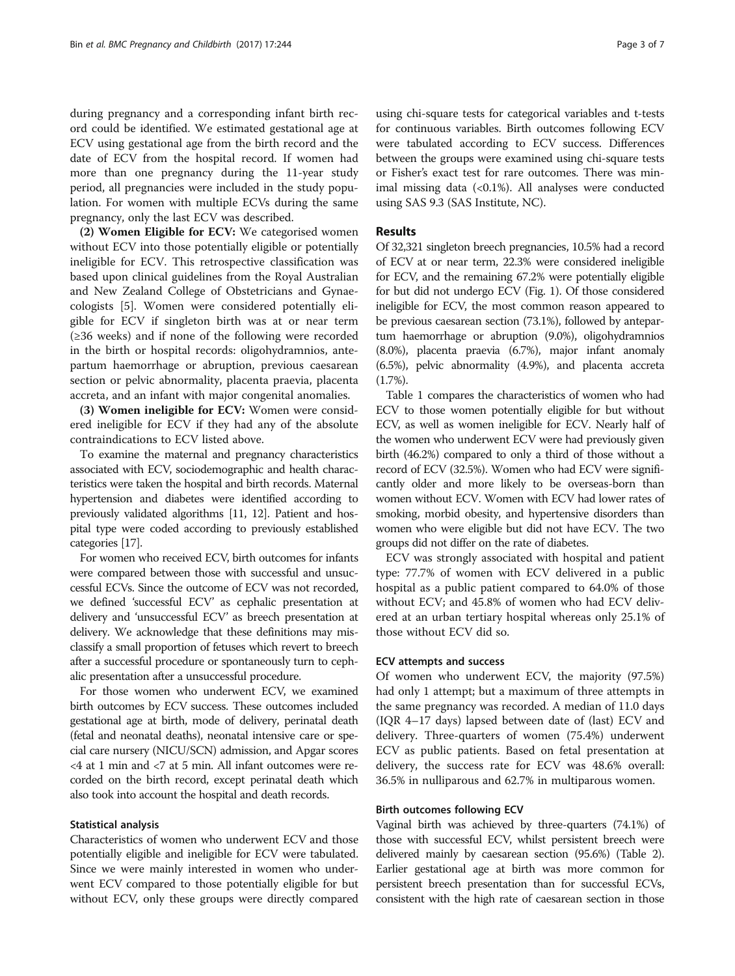during pregnancy and a corresponding infant birth record could be identified. We estimated gestational age at ECV using gestational age from the birth record and the date of ECV from the hospital record. If women had more than one pregnancy during the 11-year study period, all pregnancies were included in the study population. For women with multiple ECVs during the same pregnancy, only the last ECV was described.

(2) Women Eligible for ECV: We categorised women without ECV into those potentially eligible or potentially ineligible for ECV. This retrospective classification was based upon clinical guidelines from the Royal Australian and New Zealand College of Obstetricians and Gynaecologists [[5](#page-6-0)]. Women were considered potentially eligible for ECV if singleton birth was at or near term (≥36 weeks) and if none of the following were recorded in the birth or hospital records: oligohydramnios, antepartum haemorrhage or abruption, previous caesarean section or pelvic abnormality, placenta praevia, placenta accreta, and an infant with major congenital anomalies.

(3) Women ineligible for ECV: Women were considered ineligible for ECV if they had any of the absolute contraindications to ECV listed above.

To examine the maternal and pregnancy characteristics associated with ECV, sociodemographic and health characteristics were taken the hospital and birth records. Maternal hypertension and diabetes were identified according to previously validated algorithms [[11, 12\]](#page-6-0). Patient and hospital type were coded according to previously established categories [\[17](#page-6-0)].

For women who received ECV, birth outcomes for infants were compared between those with successful and unsuccessful ECVs. Since the outcome of ECV was not recorded, we defined 'successful ECV' as cephalic presentation at delivery and 'unsuccessful ECV' as breech presentation at delivery. We acknowledge that these definitions may misclassify a small proportion of fetuses which revert to breech after a successful procedure or spontaneously turn to cephalic presentation after a unsuccessful procedure.

For those women who underwent ECV, we examined birth outcomes by ECV success. These outcomes included gestational age at birth, mode of delivery, perinatal death (fetal and neonatal deaths), neonatal intensive care or special care nursery (NICU/SCN) admission, and Apgar scores <4 at 1 min and <7 at 5 min. All infant outcomes were recorded on the birth record, except perinatal death which also took into account the hospital and death records.

## Statistical analysis

Characteristics of women who underwent ECV and those potentially eligible and ineligible for ECV were tabulated. Since we were mainly interested in women who underwent ECV compared to those potentially eligible for but without ECV, only these groups were directly compared

using chi-square tests for categorical variables and t-tests for continuous variables. Birth outcomes following ECV were tabulated according to ECV success. Differences between the groups were examined using chi-square tests or Fisher's exact test for rare outcomes. There was minimal missing data  $( $0.1\%$ ). All analyses were conducted$ using SAS 9.3 (SAS Institute, NC).

## Results

Of 32,321 singleton breech pregnancies, 10.5% had a record of ECV at or near term, 22.3% were considered ineligible for ECV, and the remaining 67.2% were potentially eligible for but did not undergo ECV (Fig. [1](#page-1-0)). Of those considered ineligible for ECV, the most common reason appeared to be previous caesarean section (73.1%), followed by antepartum haemorrhage or abruption (9.0%), oligohydramnios (8.0%), placenta praevia (6.7%), major infant anomaly (6.5%), pelvic abnormality (4.9%), and placenta accreta  $(1.7\%)$ .

Table [1](#page-3-0) compares the characteristics of women who had ECV to those women potentially eligible for but without ECV, as well as women ineligible for ECV. Nearly half of the women who underwent ECV were had previously given birth (46.2%) compared to only a third of those without a record of ECV (32.5%). Women who had ECV were significantly older and more likely to be overseas-born than women without ECV. Women with ECV had lower rates of smoking, morbid obesity, and hypertensive disorders than women who were eligible but did not have ECV. The two groups did not differ on the rate of diabetes.

ECV was strongly associated with hospital and patient type: 77.7% of women with ECV delivered in a public hospital as a public patient compared to 64.0% of those without ECV; and 45.8% of women who had ECV delivered at an urban tertiary hospital whereas only 25.1% of those without ECV did so.

# ECV attempts and success

Of women who underwent ECV, the majority (97.5%) had only 1 attempt; but a maximum of three attempts in the same pregnancy was recorded. A median of 11.0 days (IQR 4–17 days) lapsed between date of (last) ECV and delivery. Three-quarters of women (75.4%) underwent ECV as public patients. Based on fetal presentation at delivery, the success rate for ECV was 48.6% overall: 36.5% in nulliparous and 62.7% in multiparous women.

# Birth outcomes following ECV

Vaginal birth was achieved by three-quarters (74.1%) of those with successful ECV, whilst persistent breech were delivered mainly by caesarean section (95.6%) (Table [2](#page-4-0)). Earlier gestational age at birth was more common for persistent breech presentation than for successful ECVs, consistent with the high rate of caesarean section in those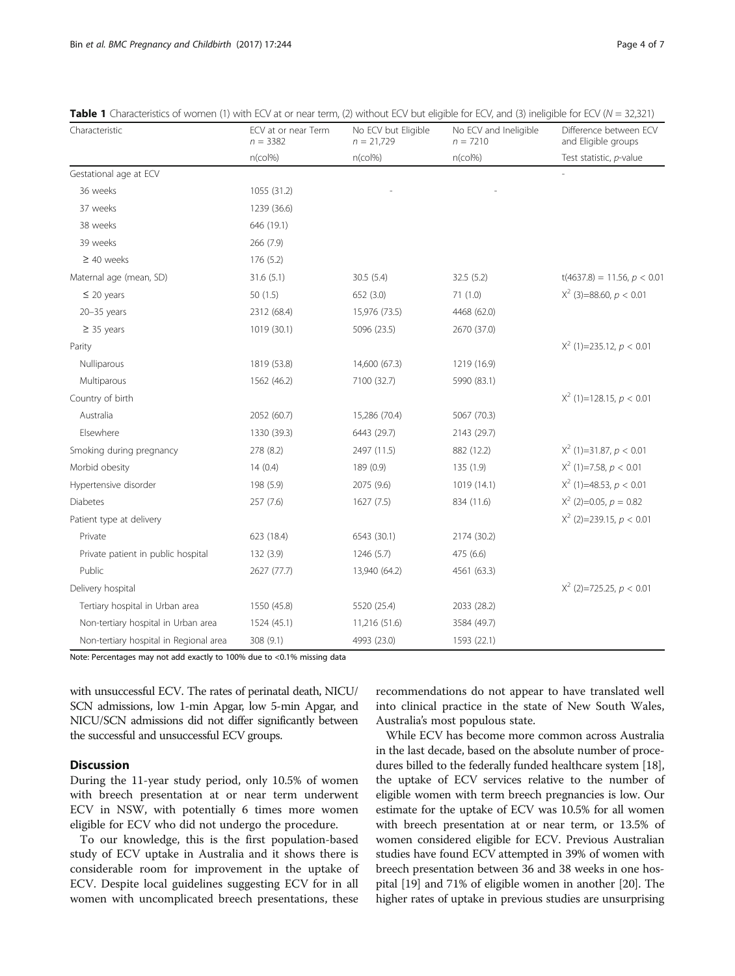| Characteristic                         | ECV at or near Term<br>$n = 3382$ | No ECV but Eligible<br>$n = 21,729$ | No ECV and Ineligible<br>$n = 7210$ | Difference between ECV<br>and Eligible groups |
|----------------------------------------|-----------------------------------|-------------------------------------|-------------------------------------|-----------------------------------------------|
|                                        | $n$ (col%)                        | $n$ (col%)                          | $n$ (col%)                          | Test statistic, p-value                       |
| Gestational age at ECV                 |                                   |                                     |                                     |                                               |
| 36 weeks                               | 1055 (31.2)                       |                                     |                                     |                                               |
| 37 weeks                               | 1239 (36.6)                       |                                     |                                     |                                               |
| 38 weeks                               | 646 (19.1)                        |                                     |                                     |                                               |
| 39 weeks                               | 266 (7.9)                         |                                     |                                     |                                               |
| $\geq 40$ weeks                        | 176(5.2)                          |                                     |                                     |                                               |
| Maternal age (mean, SD)                | 31.6(5.1)                         | 30.5(5.4)                           | 32.5(5.2)                           | $t(4637.8) = 11.56, p < 0.01$                 |
| $\leq$ 20 years                        | 50(1.5)                           | 652 (3.0)                           | 71(1.0)                             | $X^2$ (3)=88.60, $p < 0.01$                   |
| $20 - 35$ years                        | 2312 (68.4)                       | 15,976 (73.5)                       | 4468 (62.0)                         |                                               |
| $\geq$ 35 years                        | 1019 (30.1)                       | 5096 (23.5)                         | 2670 (37.0)                         |                                               |
| Parity                                 |                                   |                                     |                                     | $X^2$ (1)=235.12, $p < 0.01$                  |
| Nulliparous                            | 1819 (53.8)                       | 14,600 (67.3)                       | 1219 (16.9)                         |                                               |
| Multiparous                            | 1562 (46.2)                       | 7100 (32.7)                         | 5990 (83.1)                         |                                               |
| Country of birth                       |                                   |                                     |                                     | $X^2$ (1)=128.15, $p < 0.01$                  |
| Australia                              | 2052 (60.7)                       | 15,286 (70.4)                       | 5067 (70.3)                         |                                               |
| Elsewhere                              | 1330 (39.3)                       | 6443 (29.7)                         | 2143 (29.7)                         |                                               |
| Smoking during pregnancy               | 278 (8.2)                         | 2497 (11.5)                         | 882 (12.2)                          | $X^2$ (1)=31.87, $p < 0.01$                   |
| Morbid obesity                         | 14(0.4)                           | 189 (0.9)                           | 135 (1.9)                           | $X^2$ (1)=7.58, $p < 0.01$                    |
| Hypertensive disorder                  | 198 (5.9)                         | 2075 (9.6)                          | 1019 (14.1)                         | $X^2$ (1)=48.53, $p < 0.01$                   |
| <b>Diabetes</b>                        | 257(7.6)                          | 1627(7.5)                           | 834 (11.6)                          | $X^2$ (2)=0.05, $p = 0.82$                    |
| Patient type at delivery               |                                   |                                     |                                     | $X^2$ (2)=239.15, $p < 0.01$                  |
| Private                                | 623 (18.4)                        | 6543 (30.1)                         | 2174 (30.2)                         |                                               |
| Private patient in public hospital     | 132 (3.9)                         | 1246 (5.7)                          | 475 (6.6)                           |                                               |
| Public                                 | 2627 (77.7)                       | 13,940 (64.2)                       | 4561 (63.3)                         |                                               |
| Delivery hospital                      |                                   |                                     |                                     | $X^2$ (2)=725.25, $p < 0.01$                  |
| Tertiary hospital in Urban area        | 1550 (45.8)                       | 5520 (25.4)                         | 2033 (28.2)                         |                                               |
| Non-tertiary hospital in Urban area    | 1524 (45.1)                       | 11,216 (51.6)                       | 3584 (49.7)                         |                                               |
| Non-tertiary hospital in Regional area | 308 (9.1)                         | 4993 (23.0)                         | 1593 (22.1)                         |                                               |

<span id="page-3-0"></span>**Table 1** Characteristics of women (1) with ECV at or near term, (2) without ECV but eligible for ECV, and (3) ineligible for ECV (N = 32,321)

Note: Percentages may not add exactly to 100% due to <0.1% missing data

with unsuccessful ECV. The rates of perinatal death, NICU/ SCN admissions, low 1-min Apgar, low 5-min Apgar, and NICU/SCN admissions did not differ significantly between the successful and unsuccessful ECV groups.

# **Discussion**

During the 11-year study period, only 10.5% of women with breech presentation at or near term underwent ECV in NSW, with potentially 6 times more women eligible for ECV who did not undergo the procedure.

To our knowledge, this is the first population-based study of ECV uptake in Australia and it shows there is considerable room for improvement in the uptake of ECV. Despite local guidelines suggesting ECV for in all women with uncomplicated breech presentations, these recommendations do not appear to have translated well into clinical practice in the state of New South Wales, Australia's most populous state.

While ECV has become more common across Australia in the last decade, based on the absolute number of procedures billed to the federally funded healthcare system [[18](#page-6-0)], the uptake of ECV services relative to the number of eligible women with term breech pregnancies is low. Our estimate for the uptake of ECV was 10.5% for all women with breech presentation at or near term, or 13.5% of women considered eligible for ECV. Previous Australian studies have found ECV attempted in 39% of women with breech presentation between 36 and 38 weeks in one hospital [\[19](#page-6-0)] and 71% of eligible women in another [[20](#page-6-0)]. The higher rates of uptake in previous studies are unsurprising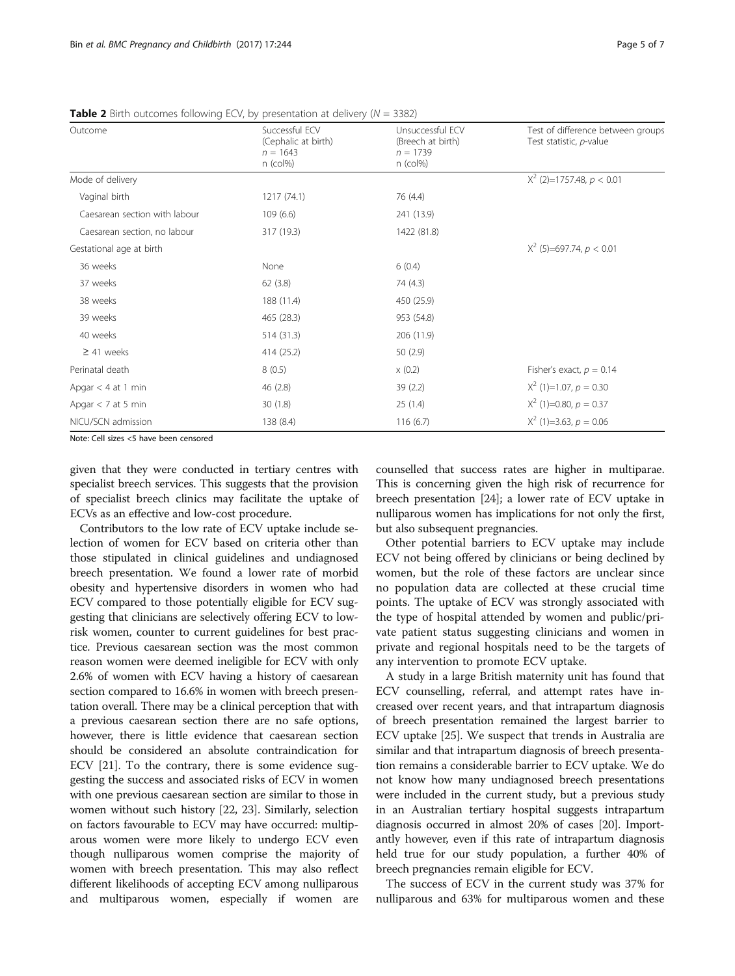| Outcome                       | Successful ECV<br>(Cephalic at birth)<br>$n = 1643$<br>$n$ (col%) | Unsuccessful ECV<br>(Breech at birth)<br>$n = 1739$<br>$n$ (col%) | Test of difference between groups<br>Test statistic, p-value |
|-------------------------------|-------------------------------------------------------------------|-------------------------------------------------------------------|--------------------------------------------------------------|
| Mode of delivery              |                                                                   |                                                                   | $X^2$ (2)=1757.48, $p < 0.01$                                |
| Vaginal birth                 | 1217 (74.1)                                                       | 76 (4.4)                                                          |                                                              |
| Caesarean section with labour | 109(6.6)                                                          | 241 (13.9)                                                        |                                                              |
| Caesarean section, no labour  | 317 (19.3)                                                        | 1422 (81.8)                                                       |                                                              |
| Gestational age at birth      |                                                                   |                                                                   | $X^2$ (5)=697.74, $p < 0.01$                                 |
| 36 weeks                      | None                                                              | 6(0.4)                                                            |                                                              |
| 37 weeks                      | 62(3.8)                                                           | 74 (4.3)                                                          |                                                              |
| 38 weeks                      | 188 (11.4)                                                        | 450 (25.9)                                                        |                                                              |
| 39 weeks                      | 465 (28.3)                                                        | 953 (54.8)                                                        |                                                              |
| 40 weeks                      | 514 (31.3)                                                        | 206 (11.9)                                                        |                                                              |
| $\geq$ 41 weeks               | 414 (25.2)                                                        | 50(2.9)                                                           |                                                              |
| Perinatal death               | 8(0.5)                                                            | x(0.2)                                                            | Fisher's exact, $p = 0.14$                                   |
| Apgar $<$ 4 at 1 min          | 46(2.8)                                                           | 39(2.2)                                                           | $X^2$ (1)=1.07, $p = 0.30$                                   |
| Apgar $<$ 7 at 5 min          | 30(1.8)                                                           | 25(1.4)                                                           | $X^2$ (1)=0.80, $p = 0.37$                                   |
| NICU/SCN admission            | 138 (8.4)                                                         | 116(6.7)                                                          | $X^2$ (1)=3.63, $p = 0.06$                                   |

<span id="page-4-0"></span>**Table 2** Birth outcomes following ECV, by presentation at delivery ( $N = 3382$ )

Note: Cell sizes <5 have been censored

given that they were conducted in tertiary centres with specialist breech services. This suggests that the provision of specialist breech clinics may facilitate the uptake of ECVs as an effective and low-cost procedure.

Contributors to the low rate of ECV uptake include selection of women for ECV based on criteria other than those stipulated in clinical guidelines and undiagnosed breech presentation. We found a lower rate of morbid obesity and hypertensive disorders in women who had ECV compared to those potentially eligible for ECV suggesting that clinicians are selectively offering ECV to lowrisk women, counter to current guidelines for best practice. Previous caesarean section was the most common reason women were deemed ineligible for ECV with only 2.6% of women with ECV having a history of caesarean section compared to 16.6% in women with breech presentation overall. There may be a clinical perception that with a previous caesarean section there are no safe options, however, there is little evidence that caesarean section should be considered an absolute contraindication for ECV [[21\]](#page-6-0). To the contrary, there is some evidence suggesting the success and associated risks of ECV in women with one previous caesarean section are similar to those in women without such history [[22](#page-6-0), [23\]](#page-6-0). Similarly, selection on factors favourable to ECV may have occurred: multiparous women were more likely to undergo ECV even though nulliparous women comprise the majority of women with breech presentation. This may also reflect different likelihoods of accepting ECV among nulliparous and multiparous women, especially if women are

counselled that success rates are higher in multiparae. This is concerning given the high risk of recurrence for breech presentation [\[24](#page-6-0)]; a lower rate of ECV uptake in nulliparous women has implications for not only the first, but also subsequent pregnancies.

Other potential barriers to ECV uptake may include ECV not being offered by clinicians or being declined by women, but the role of these factors are unclear since no population data are collected at these crucial time points. The uptake of ECV was strongly associated with the type of hospital attended by women and public/private patient status suggesting clinicians and women in private and regional hospitals need to be the targets of any intervention to promote ECV uptake.

A study in a large British maternity unit has found that ECV counselling, referral, and attempt rates have increased over recent years, and that intrapartum diagnosis of breech presentation remained the largest barrier to ECV uptake [\[25\]](#page-6-0). We suspect that trends in Australia are similar and that intrapartum diagnosis of breech presentation remains a considerable barrier to ECV uptake. We do not know how many undiagnosed breech presentations were included in the current study, but a previous study in an Australian tertiary hospital suggests intrapartum diagnosis occurred in almost 20% of cases [\[20\]](#page-6-0). Importantly however, even if this rate of intrapartum diagnosis held true for our study population, a further 40% of breech pregnancies remain eligible for ECV.

The success of ECV in the current study was 37% for nulliparous and 63% for multiparous women and these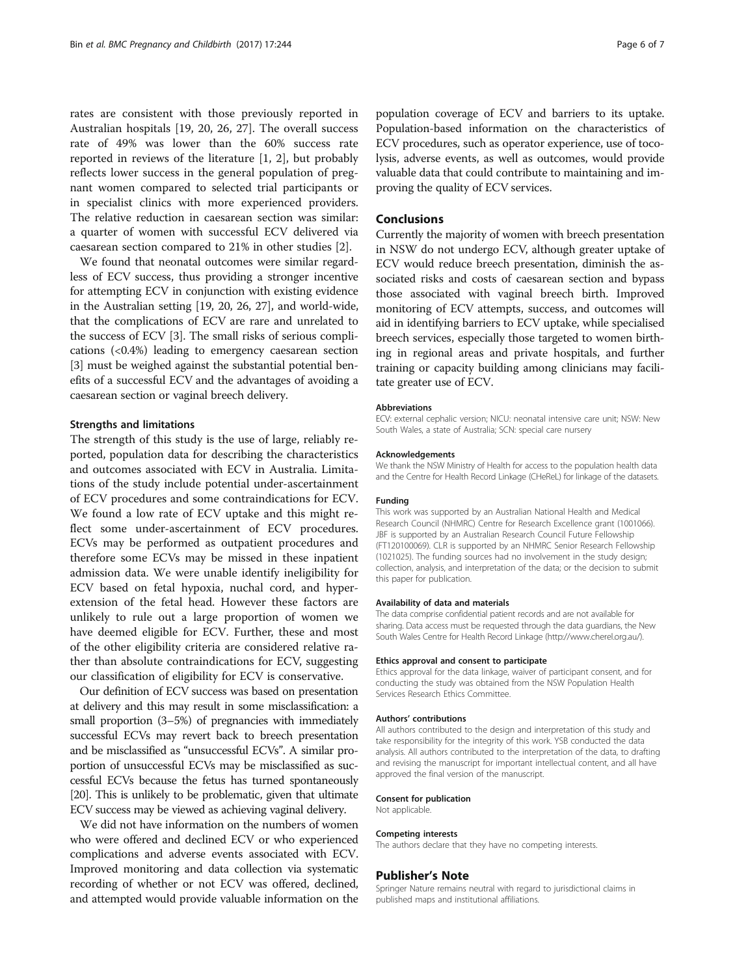rates are consistent with those previously reported in Australian hospitals [\[19, 20](#page-6-0), [26, 27](#page-6-0)]. The overall success rate of 49% was lower than the 60% success rate reported in reviews of the literature [\[1, 2\]](#page-6-0), but probably reflects lower success in the general population of pregnant women compared to selected trial participants or in specialist clinics with more experienced providers. The relative reduction in caesarean section was similar: a quarter of women with successful ECV delivered via caesarean section compared to 21% in other studies [[2\]](#page-6-0).

We found that neonatal outcomes were similar regardless of ECV success, thus providing a stronger incentive for attempting ECV in conjunction with existing evidence in the Australian setting [[19](#page-6-0), [20](#page-6-0), [26](#page-6-0), [27\]](#page-6-0), and world-wide, that the complications of ECV are rare and unrelated to the success of ECV [\[3](#page-6-0)]. The small risks of serious complications (<0.4%) leading to emergency caesarean section [[3\]](#page-6-0) must be weighed against the substantial potential benefits of a successful ECV and the advantages of avoiding a caesarean section or vaginal breech delivery.

### Strengths and limitations

The strength of this study is the use of large, reliably reported, population data for describing the characteristics and outcomes associated with ECV in Australia. Limitations of the study include potential under-ascertainment of ECV procedures and some contraindications for ECV. We found a low rate of ECV uptake and this might reflect some under-ascertainment of ECV procedures. ECVs may be performed as outpatient procedures and therefore some ECVs may be missed in these inpatient admission data. We were unable identify ineligibility for ECV based on fetal hypoxia, nuchal cord, and hyperextension of the fetal head. However these factors are unlikely to rule out a large proportion of women we have deemed eligible for ECV. Further, these and most of the other eligibility criteria are considered relative rather than absolute contraindications for ECV, suggesting our classification of eligibility for ECV is conservative.

Our definition of ECV success was based on presentation at delivery and this may result in some misclassification: a small proportion  $(3-5%)$  of pregnancies with immediately successful ECVs may revert back to breech presentation and be misclassified as "unsuccessful ECVs". A similar proportion of unsuccessful ECVs may be misclassified as successful ECVs because the fetus has turned spontaneously [[20](#page-6-0)]. This is unlikely to be problematic, given that ultimate ECV success may be viewed as achieving vaginal delivery.

We did not have information on the numbers of women who were offered and declined ECV or who experienced complications and adverse events associated with ECV. Improved monitoring and data collection via systematic recording of whether or not ECV was offered, declined, and attempted would provide valuable information on the

population coverage of ECV and barriers to its uptake. Population-based information on the characteristics of ECV procedures, such as operator experience, use of tocolysis, adverse events, as well as outcomes, would provide valuable data that could contribute to maintaining and improving the quality of ECV services.

# Conclusions

Currently the majority of women with breech presentation in NSW do not undergo ECV, although greater uptake of ECV would reduce breech presentation, diminish the associated risks and costs of caesarean section and bypass those associated with vaginal breech birth. Improved monitoring of ECV attempts, success, and outcomes will aid in identifying barriers to ECV uptake, while specialised breech services, especially those targeted to women birthing in regional areas and private hospitals, and further training or capacity building among clinicians may facilitate greater use of ECV.

#### Abbreviations

ECV: external cephalic version; NICU: neonatal intensive care unit; NSW: New South Wales, a state of Australia; SCN: special care nursery

#### Acknowledgements

We thank the NSW Ministry of Health for access to the population health data and the Centre for Health Record Linkage (CHeReL) for linkage of the datasets.

#### Funding

This work was supported by an Australian National Health and Medical Research Council (NHMRC) Centre for Research Excellence grant (1001066). JBF is supported by an Australian Research Council Future Fellowship (FT120100069). CLR is supported by an NHMRC Senior Research Fellowship (1021025). The funding sources had no involvement in the study design; collection, analysis, and interpretation of the data; or the decision to submit this paper for publication.

#### Availability of data and materials

The data comprise confidential patient records and are not available for sharing. Data access must be requested through the data guardians, the New South Wales Centre for Health Record Linkage ([http://www.cherel.org.au/\)](http://www.cherel.org.au/).

#### Ethics approval and consent to participate

Ethics approval for the data linkage, waiver of participant consent, and for conducting the study was obtained from the NSW Population Health Services Research Ethics Committee.

#### Authors' contributions

All authors contributed to the design and interpretation of this study and take responsibility for the integrity of this work. YSB conducted the data analysis. All authors contributed to the interpretation of the data, to drafting and revising the manuscript for important intellectual content, and all have approved the final version of the manuscript.

#### Consent for publication

Not applicable.

#### Competing interests

The authors declare that they have no competing interests.

#### Publisher's Note

Springer Nature remains neutral with regard to jurisdictional claims in published maps and institutional affiliations.